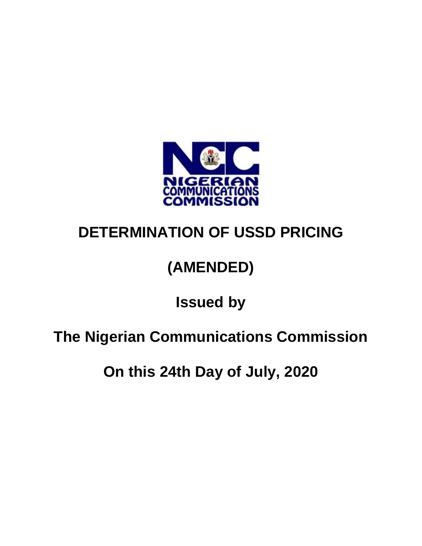

## **DETERMINATION OF USSD PRICING**

# **(AMENDED)**

#### **Issued by**

## **The Nigerian Communications Commission**

**On this 24th Day of July, 2020**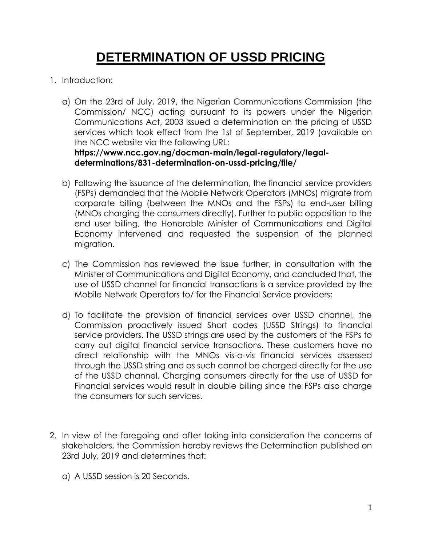#### **DETERMINATION OF USSD PRICING**

- 1. Introduction:
	- a) On the 23rd of July, 2019, the Nigerian Communications Commission (the Commission/ NCC) acting pursuant to its powers under the Nigerian Communications Act, 2003 issued a determination on the pricing of USSD services which took effect from the 1st of September, 2019 (available on the NCC website via the following URL:

**https://www.ncc.gov.ng/docman-main/legal-regulatory/legaldeterminations/831-determination-on-ussd-pricing/file/**

- b) Following the issuance of the determination, the financial service providers (FSPs) demanded that the Mobile Network Operators (MNOs) migrate from corporate billing (between the MNOs and the FSPs) to end-user billing (MNOs charging the consumers directly). Further to public opposition to the end user billing, the Honorable Minister of Communications and Digital Economy intervened and requested the suspension of the planned migration.
- c) The Commission has reviewed the issue further, in consultation with the Minister of Communications and Digital Economy, and concluded that, the use of USSD channel for financial transactions is a service provided by the Mobile Network Operators to/ for the Financial Service providers;
- d) To facilitate the provision of financial services over USSD channel, the Commission proactively issued Short codes (USSD Strings) to financial service providers. The USSD strings are used by the customers of the FSPs to carry out digital financial service transactions. These customers have no direct relationship with the MNOs vis-a-vis financial services assessed through the USSD string and as such cannot be charged directly for the use of the USSD channel. Charging consumers directly for the use of USSD for Financial services would result in double billing since the FSPs also charge the consumers for such services.
- 2. In view of the foregoing and after taking into consideration the concerns of stakeholders, the Commission hereby reviews the Determination published on 23rd July, 2019 and determines that:
	- a) A USSD session is 20 Seconds.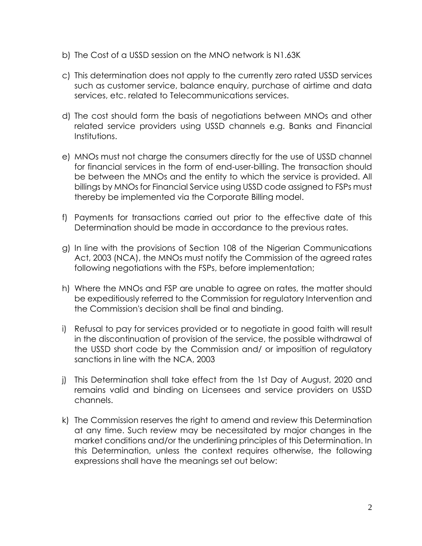- b) The Cost of a USSD session on the MNO network is N1.63K
- c) This determination does not apply to the currently zero rated USSD services such as customer service, balance enquiry, purchase of airtime and data services, etc. related to Telecommunications services.
- d) The cost should form the basis of negotiations between MNOs and other related service providers using USSD channels e.g. Banks and Financial Institutions.
- e) MNOs must not charge the consumers directly for the use of USSD channel for financial services in the form of end-user-billing. The transaction should be between the MNOs and the entity to which the service is provided. All billings by MNOs for Financial Service using USSD code assigned to FSPs must thereby be implemented via the Corporate Billing model.
- f) Payments for transactions carried out prior to the effective date of this Determination should be made in accordance to the previous rates.
- g) In line with the provisions of Section 108 of the Nigerian Communications Act, 2003 (NCA), the MNOs must notify the Commission of the agreed rates following negotiations with the FSPs, before implementation;
- h) Where the MNOs and FSP are unable to agree on rates, the matter should be expeditiously referred to the Commission for regulatory Intervention and the Commission's decision shall be final and binding.
- i) Refusal to pay for services provided or to negotiate in good faith will result in the discontinuation of provision of the service, the possible withdrawal of the USSD short code by the Commission and/ or imposition of regulatory sanctions in line with the NCA, 2003
- j) This Determination shall take effect from the 1st Day of August, 2020 and remains valid and binding on Licensees and service providers on USSD channels.
- k) The Commission reserves the right to amend and review this Determination at any time. Such review may be necessitated by major changes in the market conditions and/or the underlining principles of this Determination. In this Determination, unless the context requires otherwise, the following expressions shall have the meanings set out below: